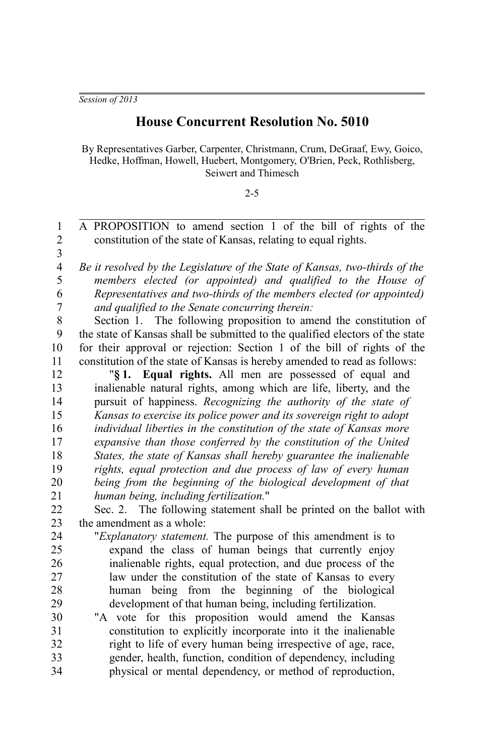*Session of 2013*

## **House Concurrent Resolution No. 5010**

By Representatives Garber, Carpenter, Christmann, Crum, DeGraaf, Ewy, Goico, Hedke, Hoffman, Howell, Huebert, Montgomery, O'Brien, Peck, Rothlisberg, Seiwert and Thimesch

## 2-5

A PROPOSITION to amend section 1 of the bill of rights of the constitution of the state of Kansas, relating to equal rights. *Be it resolved by the Legislature of the State of Kansas, two-thirds of the members elected (or appointed) and qualified to the House of Representatives and two-thirds of the members elected (or appointed) and qualified to the Senate concurring therein:* Section 1. The following proposition to amend the constitution of the state of Kansas shall be submitted to the qualified electors of the state for their approval or rejection: Section 1 of the bill of rights of the constitution of the state of Kansas is hereby amended to read as follows: "**§ 1. Equal rights.** All men are possessed of equal and inalienable natural rights, among which are life, liberty, and the pursuit of happiness. *Recognizing the authority of the state of Kansas to exercise its police power and its sovereign right to adopt individual liberties in the constitution of the state of Kansas more expansive than those conferred by the constitution of the United States, the state of Kansas shall hereby guarantee the inalienable rights, equal protection and due process of law of every human being from the beginning of the biological development of that human being, including fertilization.*" Sec. 2. The following statement shall be printed on the ballot with the amendment as a whole: "*Explanatory statement.* The purpose of this amendment is to expand the class of human beings that currently enjoy inalienable rights, equal protection, and due process of the law under the constitution of the state of Kansas to every human being from the beginning of the biological development of that human being, including fertilization. "A vote for this proposition would amend the Kansas constitution to explicitly incorporate into it the inalienable right to life of every human being irrespective of age, race, gender, health, function, condition of dependency, including physical or mental dependency, or method of reproduction, 1 2 3 4 5 6 7 8 9 10 11 12 13 14 15 16 17 18 19 20 21 22 23 24 25 26 27 28 29 30 31 32 33 34